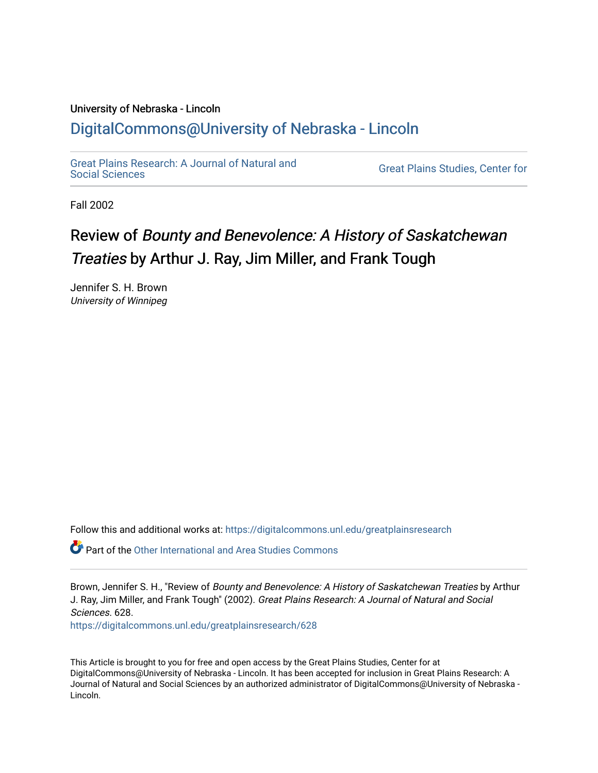## University of Nebraska - Lincoln [DigitalCommons@University of Nebraska - Lincoln](https://digitalcommons.unl.edu/)

[Great Plains Research: A Journal of Natural and](https://digitalcommons.unl.edu/greatplainsresearch) 

**Great Plains Studies, Center for** 

Fall 2002

## Review of Bounty and Benevolence: A History of Saskatchewan Treaties by Arthur J. Ray, Jim Miller, and Frank Tough

Jennifer S. H. Brown University of Winnipeg

Follow this and additional works at: [https://digitalcommons.unl.edu/greatplainsresearch](https://digitalcommons.unl.edu/greatplainsresearch?utm_source=digitalcommons.unl.edu%2Fgreatplainsresearch%2F628&utm_medium=PDF&utm_campaign=PDFCoverPages) 

 $\bullet$  Part of the [Other International and Area Studies Commons](http://network.bepress.com/hgg/discipline/365?utm_source=digitalcommons.unl.edu%2Fgreatplainsresearch%2F628&utm_medium=PDF&utm_campaign=PDFCoverPages)

Brown, Jennifer S. H., "Review of Bounty and Benevolence: A History of Saskatchewan Treaties by Arthur J. Ray, Jim Miller, and Frank Tough" (2002). Great Plains Research: A Journal of Natural and Social Sciences. 628. [https://digitalcommons.unl.edu/greatplainsresearch/628](https://digitalcommons.unl.edu/greatplainsresearch/628?utm_source=digitalcommons.unl.edu%2Fgreatplainsresearch%2F628&utm_medium=PDF&utm_campaign=PDFCoverPages) 

This Article is brought to you for free and open access by the Great Plains Studies, Center for at DigitalCommons@University of Nebraska - Lincoln. It has been accepted for inclusion in Great Plains Research: A Journal of Natural and Social Sciences by an authorized administrator of DigitalCommons@University of Nebraska - Lincoln.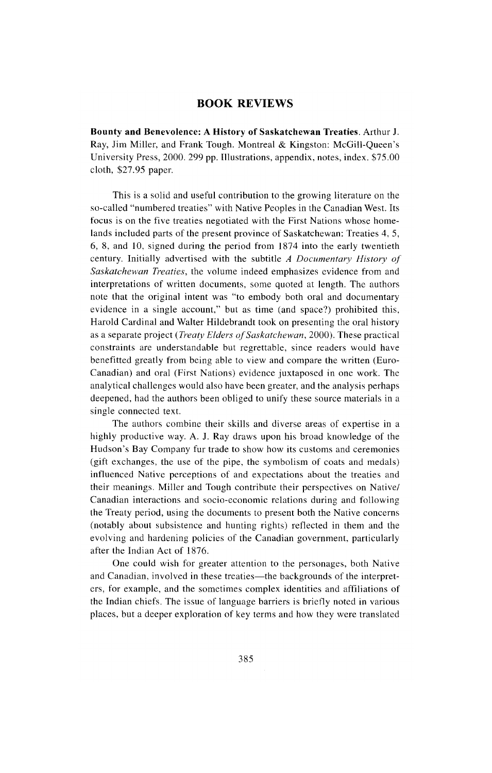## **BOOK REVIEWS**

**Bounty and Benevolence: A History of Saskatchewan Treaties.** Arthur J. Ray, Jim Miller, and Frank Tough. Montreal & Kingston: McGill-Queen's University Press, 2000. 299 pp. Illustrations, appendix, notes, index. \$75.00 cloth, \$27.95 paper.

This is a solid and useful contribution to the growing literature on the so-called "numbered treaties" with Native Peoples in the Canadian West. Its focus is on the five treaties negotiated with the First Nations whose homelands included parts of the present province of Saskatchewan: Treaties 4, 5, 6, 8, and 10, signed during the period from 1874 into the early twentieth century. Initially advertised with the subtitle *A Documentary History of Saskatchewan Treaties,* the volume indeed emphasizes evidence from and interpretations of written documents, some quoted at length. The authors note that the original intent was "to embody both oral and documentary evidence in a single account," but as time (and space?) prohibited this, Harold Cardinal and Walter Hildebrandt took on presenting the oral history as a separate project *(Treaty Elders of Saskatchewan* , 2000). These practical constraints are understandable but regrettable, since readers would have benefitted greatly from being able to view and compare the written (Euro-Canadian) and oral (First Nations) evidence juxtaposed in one work. The analytical challenges would also have been greater, and the analysis perhaps deepened, had the authors been obliged to unify these source materials in a single connected text.

The authors combine their skills and diverse areas of expertise in a highly productive way. A. J. Ray draws upon his broad knowledge of the Hudson's Bay Company fur trade to show how its customs and ceremonies (gift exchanges, the use of the pipe, the symbolism of coats and medals) influenced Native perceptions of and expectations about the treaties and their meanings. Miller and Tough contribute their perspectives on Native/ Canadian interactions and socio-economic relations during and following the Treaty period, using the documents to present both the Native concerns (notably about subsistence and hunting rights) reflected in them and the evolving and hardening policies of the Canadian government, particularly after the Indian Act of 1876.

One could wish for greater attention to the personages, both Native and Canadian, involved in these treaties—the backgrounds of the interpreters, for example, and the sometimes complex identities and affiliations of the Indian chiefs. The issue of language barriers is brietly noted in various places, but a deeper exploration of key terms and how they were translated